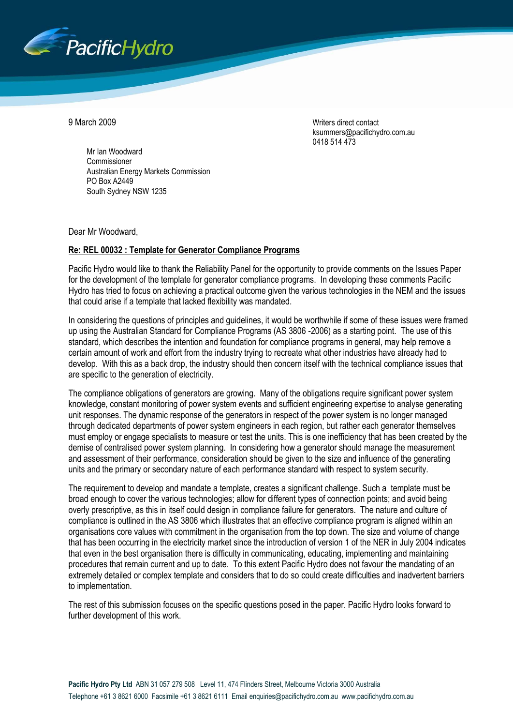

9 March 2009 Writers direct contact ksummers@pacifichydro.com.au 0418 514 473

Mr Ian Woodward Commissioner Australian Energy Markets Commission PO Box A2449 South Sydney NSW 1235

Dear Mr Woodward,

# **Re: REL 00032 : Template for Generator Compliance Programs**

Pacific Hydro would like to thank the Reliability Panel for the opportunity to provide comments on the Issues Paper for the development of the template for generator compliance programs. In developing these comments Pacific Hydro has tried to focus on achieving a practical outcome given the various technologies in the NEM and the issues that could arise if a template that lacked flexibility was mandated.

In considering the questions of principles and guidelines, it would be worthwhile if some of these issues were framed up using the Australian Standard for Compliance Programs (AS 3806 -2006) as a starting point. The use of this standard, which describes the intention and foundation for compliance programs in general, may help remove a certain amount of work and effort from the industry trying to recreate what other industries have already had to develop. With this as a back drop, the industry should then concern itself with the technical compliance issues that are specific to the generation of electricity.

The compliance obligations of generators are growing. Many of the obligations require significant power system knowledge, constant monitoring of power system events and sufficient engineering expertise to analyse generating unit responses. The dynamic response of the generators in respect of the power system is no longer managed through dedicated departments of power system engineers in each region, but rather each generator themselves must employ or engage specialists to measure or test the units. This is one inefficiency that has been created by the demise of centralised power system planning. In considering how a generator should manage the measurement and assessment of their performance, consideration should be given to the size and influence of the generating units and the primary or secondary nature of each performance standard with respect to system security.

The requirement to develop and mandate a template, creates a significant challenge. Such a template must be broad enough to cover the various technologies; allow for different types of connection points; and avoid being overly prescriptive, as this in itself could design in compliance failure for generators. The nature and culture of compliance is outlined in the AS 3806 which illustrates that an effective compliance program is aligned within an organisations core values with commitment in the organisation from the top down. The size and volume of change that has been occurring in the electricity market since the introduction of version 1 of the NER in July 2004 indicates that even in the best organisation there is difficulty in communicating, educating, implementing and maintaining procedures that remain current and up to date. To this extent Pacific Hydro does not favour the mandating of an extremely detailed or complex template and considers that to do so could create difficulties and inadvertent barriers to implementation.

The rest of this submission focuses on the specific questions posed in the paper. Pacific Hydro looks forward to further development of this work.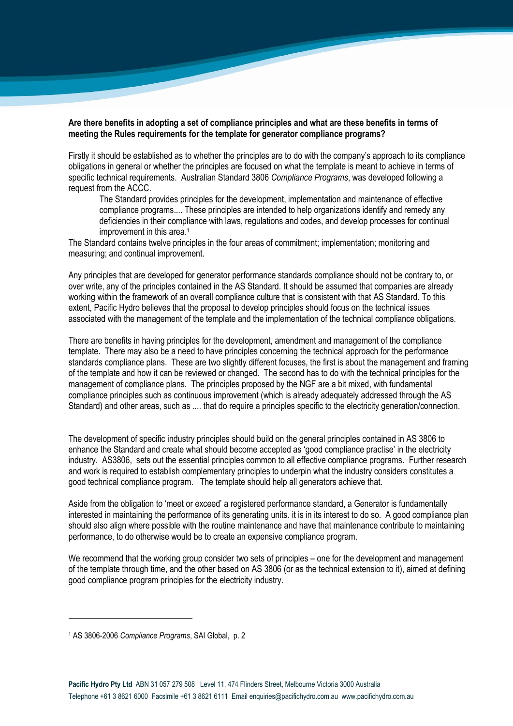## **Are there benefits in adopting a set of compliance principles and what are these benefits in terms of meeting the Rules requirements for the template for generator compliance programs?**

Firstly it should be established as to whether the principles are to do with the company"s approach to its compliance obligations in general or whether the principles are focused on what the template is meant to achieve in terms of specific technical requirements. Australian Standard 3806 *Compliance Programs*, was developed following a request from the ACCC.

The Standard provides principles for the development, implementation and maintenance of effective compliance programs.... These principles are intended to help organizations identify and remedy any deficiencies in their compliance with laws, regulations and codes, and develop processes for continual improvement in this area.<sup>1</sup>

The Standard contains twelve principles in the four areas of commitment; implementation; monitoring and measuring; and continual improvement.

Any principles that are developed for generator performance standards compliance should not be contrary to, or over write, any of the principles contained in the AS Standard. It should be assumed that companies are already working within the framework of an overall compliance culture that is consistent with that AS Standard. To this extent, Pacific Hydro believes that the proposal to develop principles should focus on the technical issues associated with the management of the template and the implementation of the technical compliance obligations.

There are benefits in having principles for the development, amendment and management of the compliance template. There may also be a need to have principles concerning the technical approach for the performance standards compliance plans. These are two slightly different focuses, the first is about the management and framing of the template and how it can be reviewed or changed. The second has to do with the technical principles for the management of compliance plans. The principles proposed by the NGF are a bit mixed, with fundamental compliance principles such as continuous improvement (which is already adequately addressed through the AS Standard) and other areas, such as .... that do require a principles specific to the electricity generation/connection.

The development of specific industry principles should build on the general principles contained in AS 3806 to enhance the Standard and create what should become accepted as 'good compliance practise' in the electricity industry. AS3806, sets out the essential principles common to all effective compliance programs. Further research and work is required to establish complementary principles to underpin what the industry considers constitutes a good technical compliance program. The template should help all generators achieve that.

Aside from the obligation to "meet or exceed" a registered performance standard, a Generator is fundamentally interested in maintaining the performance of its generating units. it is in its interest to do so. A good compliance plan should also align where possible with the routine maintenance and have that maintenance contribute to maintaining performance, to do otherwise would be to create an expensive compliance program.

We recommend that the working group consider two sets of principles – one for the development and management of the template through time, and the other based on AS 3806 (or as the technical extension to it), aimed at defining good compliance program principles for the electricity industry.

<u>.</u>

<sup>1</sup> AS 3806-2006 *Compliance Programs*, SAI Global, p. 2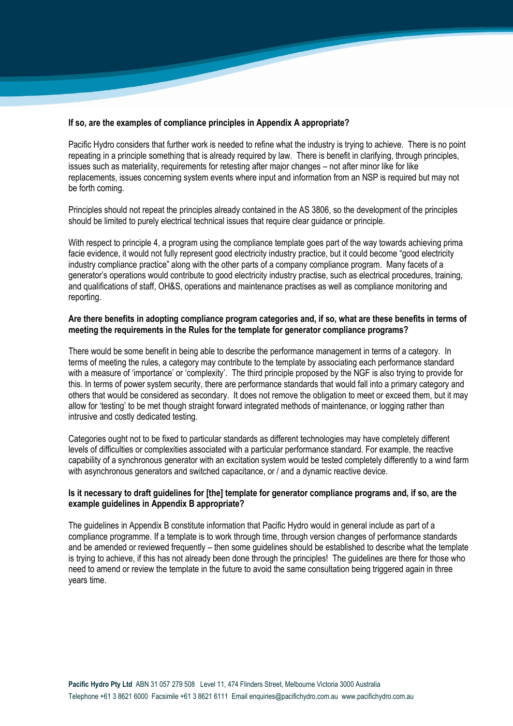## **If so, are the examples of compliance principles in Appendix A appropriate?**

Pacific Hydro considers that further work is needed to refine what the industry is trying to achieve. There is no point repeating in a principle something that is already required by law. There is benefit in clarifying, through principles, issues such as materiality, requirements for retesting after major changes – not after minor like for like replacements, issues concerning system events where input and information from an NSP is required but may not be forth coming.

Principles should not repeat the principles already contained in the AS 3806, so the development of the principles should be limited to purely electrical technical issues that require clear guidance or principle.

With respect to principle 4, a program using the compliance template goes part of the way towards achieving prima facie evidence, it would not fully represent good electricity industry practice, but it could become "good electricity industry compliance practice" along with the other parts of a company compliance program. Many facets of a generator"s operations would contribute to good electricity industry practise, such as electrical procedures, training, and qualifications of staff, OH&S, operations and maintenance practises as well as compliance monitoring and reporting.

## **Are there benefits in adopting compliance program categories and, if so, what are these benefits in terms of meeting the requirements in the Rules for the template for generator compliance programs?**

There would be some benefit in being able to describe the performance management in terms of a category. In terms of meeting the rules, a category may contribute to the template by associating each performance standard with a measure of 'importance' or 'complexity'. The third principle proposed by the NGF is also trying to provide for this. In terms of power system security, there are performance standards that would fall into a primary category and others that would be considered as secondary. It does not remove the obligation to meet or exceed them, but it may allow for "testing" to be met though straight forward integrated methods of maintenance, or logging rather than intrusive and costly dedicated testing.

Categories ought not to be fixed to particular standards as different technologies may have completely different levels of difficulties or complexities associated with a particular performance standard. For example, the reactive capability of a synchronous generator with an excitation system would be tested completely differently to a wind farm with asynchronous generators and switched capacitance, or / and a dynamic reactive device.

## **Is it necessary to draft guidelines for [the] template for generator compliance programs and, if so, are the example guidelines in Appendix B appropriate?**

The guidelines in Appendix B constitute information that Pacific Hydro would in general include as part of a compliance programme. If a template is to work through time, through version changes of performance standards and be amended or reviewed frequently – then some guidelines should be established to describe what the template is trying to achieve, if this has not already been done through the principles! The guidelines are there for those who need to amend or review the template in the future to avoid the same consultation being triggered again in three years time.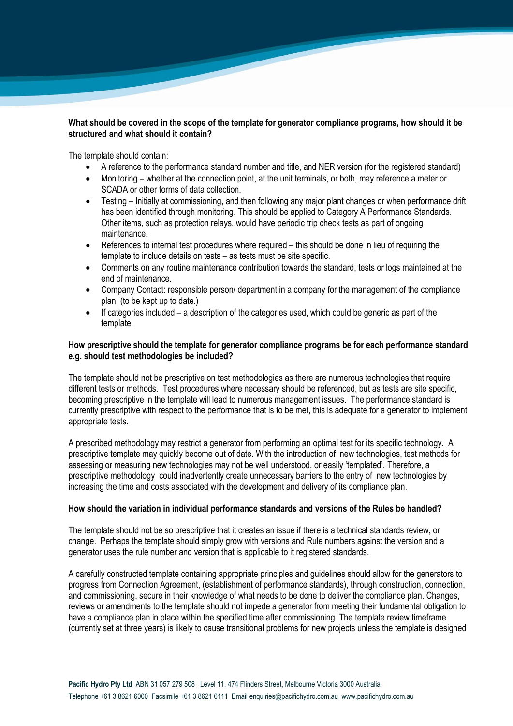# **What should be covered in the scope of the template for generator compliance programs, how should it be structured and what should it contain?**

The template should contain:

- A reference to the performance standard number and title, and NER version (for the registered standard)
- Monitoring whether at the connection point, at the unit terminals, or both, may reference a meter or SCADA or other forms of data collection.
- Testing Initially at commissioning, and then following any major plant changes or when performance drift has been identified through monitoring. This should be applied to Category A Performance Standards. Other items, such as protection relays, would have periodic trip check tests as part of ongoing maintenance.
- References to internal test procedures where required this should be done in lieu of requiring the template to include details on tests – as tests must be site specific.
- Comments on any routine maintenance contribution towards the standard, tests or logs maintained at the end of maintenance.
- Company Contact: responsible person/ department in a company for the management of the compliance plan. (to be kept up to date.)
- If categories included a description of the categories used, which could be generic as part of the template.

## **How prescriptive should the template for generator compliance programs be for each performance standard e.g. should test methodologies be included?**

The template should not be prescriptive on test methodologies as there are numerous technologies that require different tests or methods. Test procedures where necessary should be referenced, but as tests are site specific, becoming prescriptive in the template will lead to numerous management issues. The performance standard is currently prescriptive with respect to the performance that is to be met, this is adequate for a generator to implement appropriate tests.

A prescribed methodology may restrict a generator from performing an optimal test for its specific technology. A prescriptive template may quickly become out of date. With the introduction of new technologies, test methods for assessing or measuring new technologies may not be well understood, or easily "templated". Therefore, a prescriptive methodology could inadvertently create unnecessary barriers to the entry of new technologies by increasing the time and costs associated with the development and delivery of its compliance plan.

## **How should the variation in individual performance standards and versions of the Rules be handled?**

The template should not be so prescriptive that it creates an issue if there is a technical standards review, or change. Perhaps the template should simply grow with versions and Rule numbers against the version and a generator uses the rule number and version that is applicable to it registered standards.

A carefully constructed template containing appropriate principles and guidelines should allow for the generators to progress from Connection Agreement, (establishment of performance standards), through construction, connection, and commissioning, secure in their knowledge of what needs to be done to deliver the compliance plan. Changes, reviews or amendments to the template should not impede a generator from meeting their fundamental obligation to have a compliance plan in place within the specified time after commissioning. The template review timeframe (currently set at three years) is likely to cause transitional problems for new projects unless the template is designed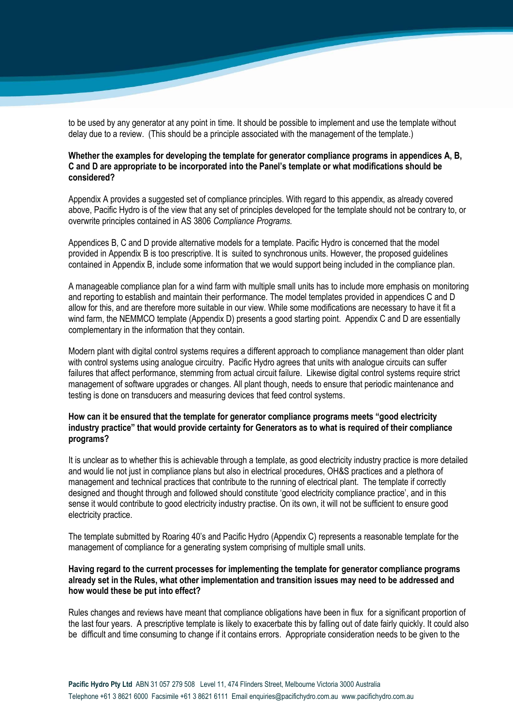to be used by any generator at any point in time. It should be possible to implement and use the template without delay due to a review. (This should be a principle associated with the management of the template.)

## **Whether the examples for developing the template for generator compliance programs in appendices A, B, C and D are appropriate to be incorporated into the Panel's template or what modifications should be considered?**

Appendix A provides a suggested set of compliance principles. With regard to this appendix, as already covered above, Pacific Hydro is of the view that any set of principles developed for the template should not be contrary to, or overwrite principles contained in AS 3806 *Compliance Programs.*

Appendices B, C and D provide alternative models for a template. Pacific Hydro is concerned that the model provided in Appendix B is too prescriptive. It is suited to synchronous units. However, the proposed guidelines contained in Appendix B, include some information that we would support being included in the compliance plan.

A manageable compliance plan for a wind farm with multiple small units has to include more emphasis on monitoring and reporting to establish and maintain their performance. The model templates provided in appendices C and D allow for this, and are therefore more suitable in our view. While some modifications are necessary to have it fit a wind farm, the NEMMCO template (Appendix D) presents a good starting point. Appendix C and D are essentially complementary in the information that they contain.

Modern plant with digital control systems requires a different approach to compliance management than older plant with control systems using analogue circuitry. Pacific Hydro agrees that units with analogue circuits can suffer failures that affect performance, stemming from actual circuit failure. Likewise digital control systems require strict management of software upgrades or changes. All plant though, needs to ensure that periodic maintenance and testing is done on transducers and measuring devices that feed control systems.

## **How can it be ensured that the template for generator compliance programs meets "good electricity industry practice" that would provide certainty for Generators as to what is required of their compliance programs?**

It is unclear as to whether this is achievable through a template, as good electricity industry practice is more detailed and would lie not just in compliance plans but also in electrical procedures, OH&S practices and a plethora of management and technical practices that contribute to the running of electrical plant. The template if correctly designed and thought through and followed should constitute "good electricity compliance practice", and in this sense it would contribute to good electricity industry practise. On its own, it will not be sufficient to ensure good electricity practice.

The template submitted by Roaring 40"s and Pacific Hydro (Appendix C) represents a reasonable template for the management of compliance for a generating system comprising of multiple small units.

#### **Having regard to the current processes for implementing the template for generator compliance programs already set in the Rules, what other implementation and transition issues may need to be addressed and how would these be put into effect?**

Rules changes and reviews have meant that compliance obligations have been in flux for a significant proportion of the last four years. A prescriptive template is likely to exacerbate this by falling out of date fairly quickly. It could also be difficult and time consuming to change if it contains errors. Appropriate consideration needs to be given to the